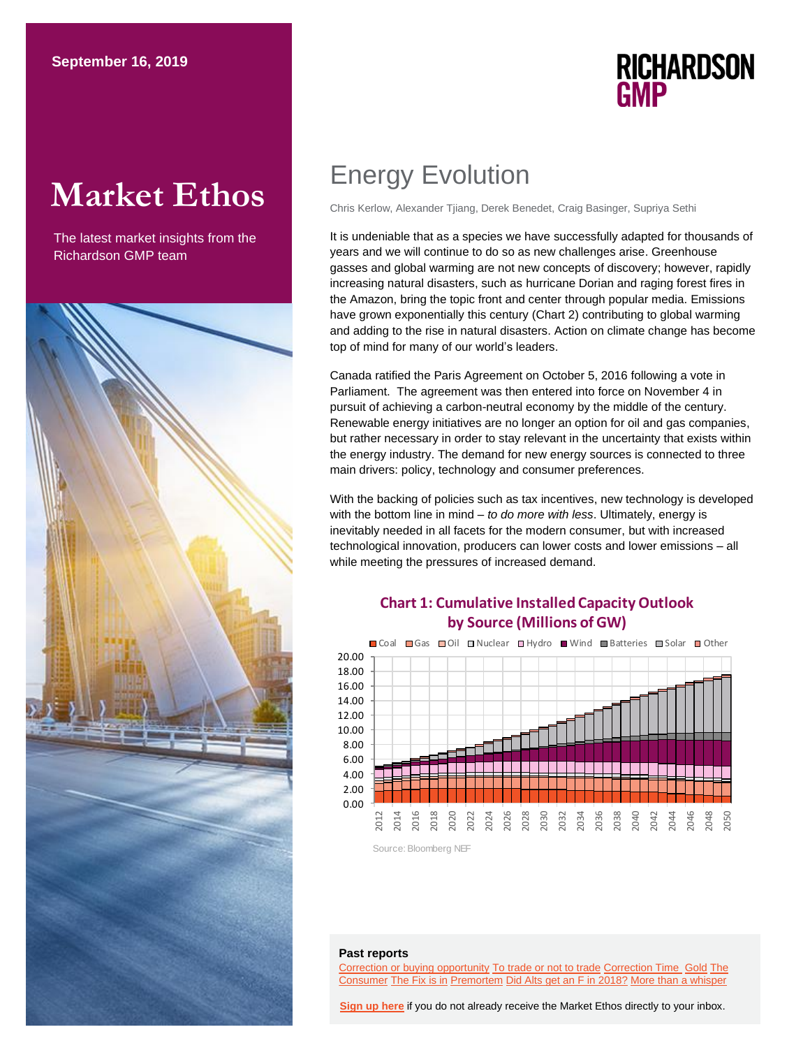# **Market Ethos**

The latest market insights from the Richardson GMP team



## Energy Evolution

Chris Kerlow, Alexander Tjiang, Derek Benedet, Craig Basinger, Supriya Sethi

It is undeniable that as a species we have successfully adapted for thousands of years and we will continue to do so as new challenges arise. Greenhouse gasses and global warming are not new concepts of discovery; however, rapidly increasing natural disasters, such as hurricane Dorian and raging forest fires in the Amazon, bring the topic front and center through popular media. Emissions have grown exponentially this century (Chart 2) contributing to global warming and adding to the rise in natural disasters. Action on climate change has become top of mind for many of our world's leaders.

**RICHARDSON** 

**GMP** 

Canada ratified the Paris Agreement on October 5, 2016 following a vote in Parliament. The agreement was then entered into force on November 4 in pursuit of achieving a carbon-neutral economy by the middle of the century. Renewable energy initiatives are no longer an option for oil and gas companies, but rather necessary in order to stay relevant in the uncertainty that exists within the energy industry. The demand for new energy sources is connected to three main drivers: policy, technology and consumer preferences.

With the backing of policies such as tax incentives, new technology is developed with the bottom line in mind – *to do more with less*. Ultimately, energy is inevitably needed in all facets for the modern consumer, but with increased technological innovation, producers can lower costs and lower emissions – all while meeting the pressures of increased demand.

### **Chart 1: Cumulative Installed Capacity Outlook by Source (Millions of GW)**



#### **Past reports**

[Correction or buying opportunity](https://www.richardsongmp.com/docs/default-source/market-ethos/market-ethos---correction-buying-opportunity-or-more-pain-to-come---19-aug-2019.pdf) [To trade or not to trade](https://www.richardsongmp.com/docs/default-source/investor-strategy/rgmp-investor-strategy-aug-2019.pdf) [Correction Time](https://www.richardsongmp.com/docs/default-source/market-ethos/market-ethos---is-the-correction-on---6-aug-2019.pdf) [Gold](https://www.richardsongmp.com/docs/default-source/market-ethos/market-ethos---29-july-2019-gold.pdf) [The](https://www.richardsongmp.com/docs/default-source/market-ethos/market-ethos---the-consumer-is-alright---22-july-2019.pdf)  [Consumer](https://www.richardsongmp.com/docs/default-source/market-ethos/market-ethos---the-consumer-is-alright---22-july-2019.pdf) [The Fix is in](https://www.richardsongmp.com/docs/default-source/market-ethos/market-ethos---the-fix-is-in---15-july-2019.pdf) [Premortem](https://www.richardsongmp.com/docs/default-source/market-ethos/market-ethos---premortem---24-jun-2019.pdf) [Did Alts get an F in 2018?](https://www.richardsongmp.com/docs/default-source/market-ethos/market-ethos---did-alts-get-an-f-in-2018---17-jun-2019.pdf) [More than a whisper](https://www.richardsongmp.com/docs/default-source/market-ethos/market-ethos---more-than-a-whisper---10-jun-2019.pdf)

**[Sign up here](https://surveys.campaignbreeze.com/s/9772617f4a874bcad89db07d66bb905669984b44)** if you do not already receive the Market Ethos directly to your inbox.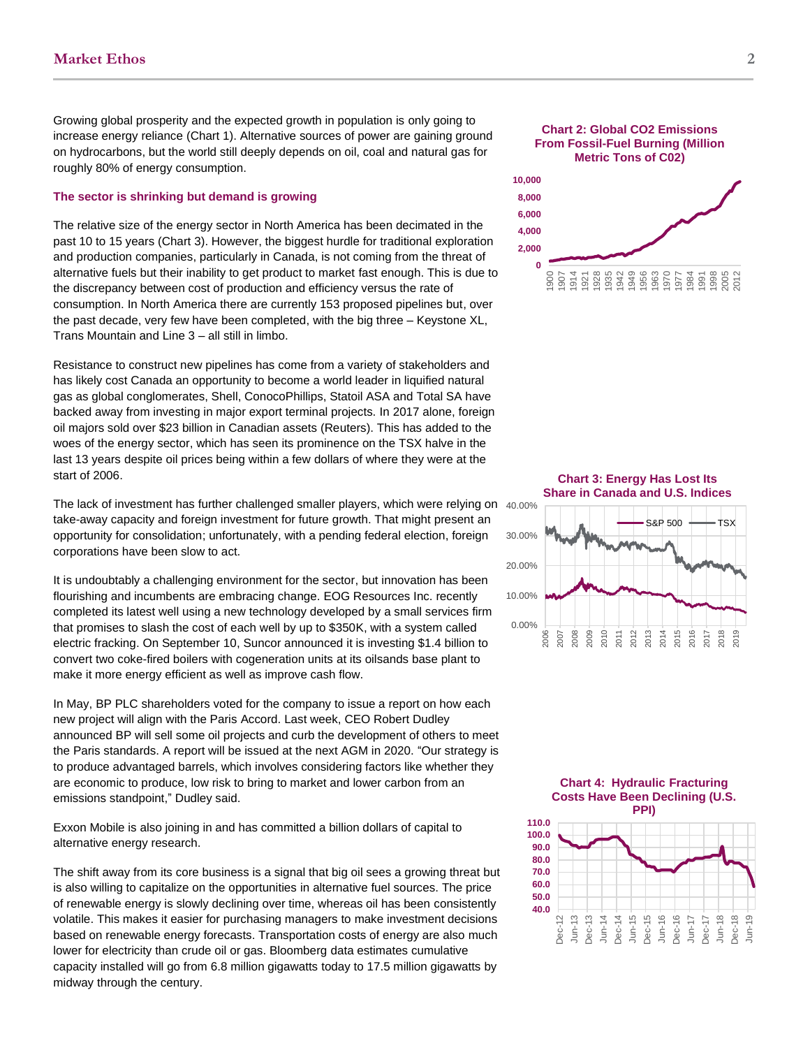Growing global prosperity and the expected growth in population is only going to increase energy reliance (Chart 1). Alternative sources of power are gaining ground on hydrocarbons, but the world still deeply depends on oil, coal and natural gas for roughly 80% of energy consumption.

#### **The sector is shrinking but demand is growing**

The relative size of the energy sector in North America has been decimated in the past 10 to 15 years (Chart 3). However, the biggest hurdle for traditional exploration and production companies, particularly in Canada, is not coming from the threat of alternative fuels but their inability to get product to market fast enough. This is due to the discrepancy between cost of production and efficiency versus the rate of consumption. In North America there are currently 153 proposed pipelines but, over the past decade, very few have been completed, with the big three – Keystone XL, Trans Mountain and Line 3 – all still in limbo.

Resistance to construct new pipelines has come from a variety of stakeholders and has likely cost Canada an opportunity to become a world leader in liquified natural gas as global conglomerates, Shell, ConocoPhillips, Statoil ASA and Total SA have backed away from investing in major export terminal projects. In 2017 alone, foreign oil majors sold over \$23 billion in Canadian assets (Reuters). This has added to the woes of the energy sector, which has seen its prominence on the TSX halve in the last 13 years despite oil prices being within a few dollars of where they were at the start of 2006.

The lack of investment has further challenged smaller players, which were relying on take-away capacity and foreign investment for future growth. That might present an opportunity for consolidation; unfortunately, with a pending federal election, foreign corporations have been slow to act.

It is undoubtably a challenging environment for the sector, but innovation has been flourishing and incumbents are embracing change[. EOG Resources Inc. recently](https://www.reuters.com/article/us-usa-oil-electric-fracturing-focus/low-cost-fracking-offers-boon-to-oil-producers-headaches-for-suppliers-idUSKCN1VX112)  [completed its latest well using a new technology developed by a small services firm](https://www.reuters.com/article/us-usa-oil-electric-fracturing-focus/low-cost-fracking-offers-boon-to-oil-producers-headaches-for-suppliers-idUSKCN1VX112)  [that promises to slash the cost of each well by up to \\$350K, with a system called](https://www.reuters.com/article/us-usa-oil-electric-fracturing-focus/low-cost-fracking-offers-boon-to-oil-producers-headaches-for-suppliers-idUSKCN1VX112)  [electric fracking.](https://www.reuters.com/article/us-usa-oil-electric-fracturing-focus/low-cost-fracking-offers-boon-to-oil-producers-headaches-for-suppliers-idUSKCN1VX112) On September 10, Suncor announced it is investing \$1.4 billion to convert two coke-fired boilers with cogeneration units at its oilsands base plant to make it more energy efficient as well as improve cash flow.

In May, BP PLC shareholders voted for the company to issue a report on how each new project will align with the Paris Accord. Last week, CEO Robert Dudley announced BP will sell some oil projects and curb the development of others to meet the Paris standards. A report will be issued at the next AGM in 2020. "Our strategy is to produce advantaged barrels, which involves considering factors like whether they are economic to produce, low risk to bring to market and lower carbon from an emissions standpoint," Dudley said.

Exxon Mobile is also joining in and has committed a billion dollars of capital to alternative energy research.

The shift away from its core business is a signal that big oil sees a growing threat but is also willing to capitalize on the opportunities in alternative fuel sources. The price of renewable energy is slowly declining over time, whereas oil has been consistently volatile. This makes it easier for purchasing managers to make investment decisions based on renewable energy forecasts. Transportation costs of energy are also much lower for electricity than crude oil or gas. Bloomberg data estimates cumulative capacity installed will go from 6.8 million gigawatts today to 17.5 million gigawatts by midway through the century.







**Chart 3: Energy Has Lost Its Share in Canada and U.S. Indices**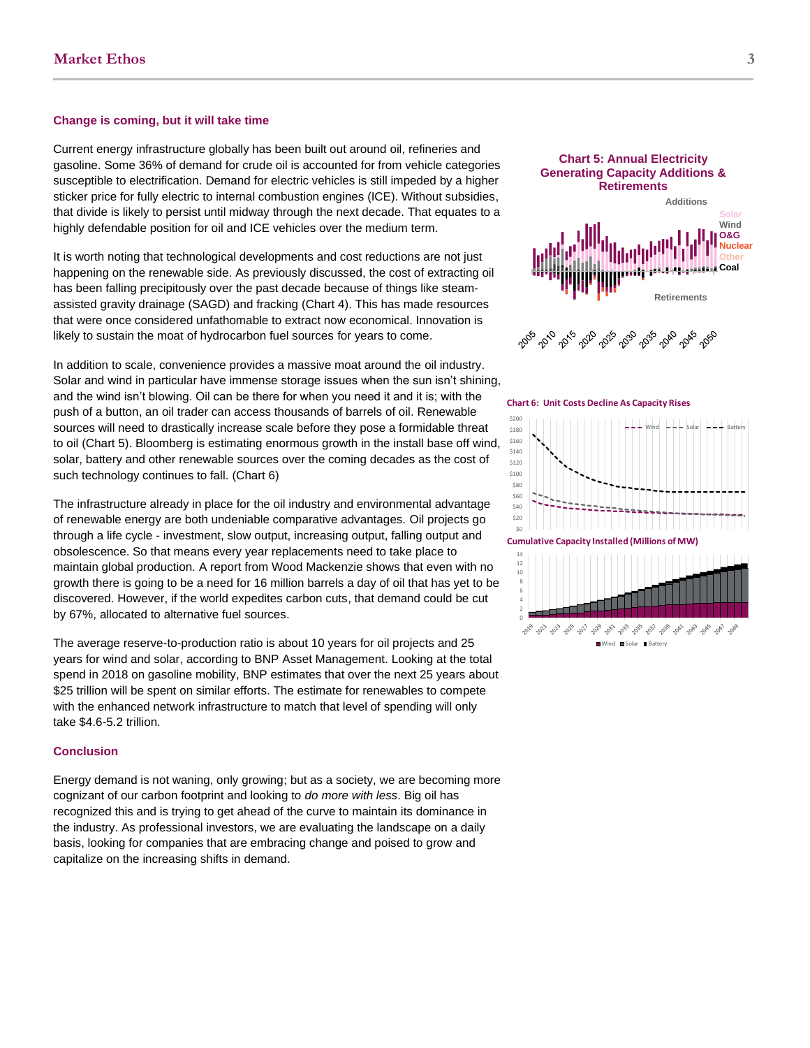#### **Change is coming, but it will take time**

Current energy infrastructure globally has been built out around oil, refineries and gasoline. Some 36% of demand for crude oil is accounted for from vehicle categories susceptible to electrification. Demand for electric vehicles is still impeded by a higher sticker price for fully electric to internal combustion engines (ICE). Without subsidies, that divide is likely to persist until midway through the next decade. That equates to a highly defendable position for oil and ICE vehicles over the medium term.

It is worth noting that technological developments and cost reductions are not just happening on the renewable side. As previously discussed, the cost of extracting oil has been falling precipitously over the past decade because of things like steamassisted gravity drainage (SAGD) and fracking (Chart 4). This has made resources that were once considered unfathomable to extract now economical. Innovation is likely to sustain the moat of hydrocarbon fuel sources for years to come.

In addition to scale, convenience provides a massive moat around the oil industry. Solar and wind in particular have immense storage issues when the sun isn't shining, and the wind isn't blowing. Oil can be there for when you need it and it is; with the push of a button, an oil trader can access thousands of barrels of oil. Renewable sources will need to drastically increase scale before they pose a formidable threat to oil (Chart 5). Bloomberg is estimating enormous growth in the install base off wind, solar, battery and other renewable sources over the coming decades as the cost of such technology continues to fall. (Chart 6)

The infrastructure already in place for the oil industry and environmental advantage of renewable energy are both undeniable comparative advantages. Oil projects go through a life cycle - investment, slow output, increasing output, falling output and obsolescence. So that means every year replacements need to take place to maintain global production. A report from Wood Mackenzie shows that even with no growth there is going to be a need for 16 million barrels a day of oil that has yet to be discovered. However, if the world expedites carbon cuts, that demand could be cut by 67%, allocated to alternative fuel sources.

The average reserve-to-production ratio is about 10 years for oil projects and 25 years for wind and solar, according to BNP Asset Management. Looking at the total spend in 2018 on gasoline mobility, BNP estimates that over the next 25 years about \$25 trillion will be spent on similar efforts. The estimate for renewables to compete with the enhanced network infrastructure to match that level of spending will only take \$4.6-5.2 trillion.

#### **Conclusion**

Energy demand is not waning, only growing; but as a society, we are becoming more cognizant of our carbon footprint and looking to *do more with less*. Big oil has recognized this and is trying to get ahead of the curve to maintain its dominance in the industry. As professional investors, we are evaluating the landscape on a daily basis, looking for companies that are embracing change and poised to grow and capitalize on the increasing shifts in demand.